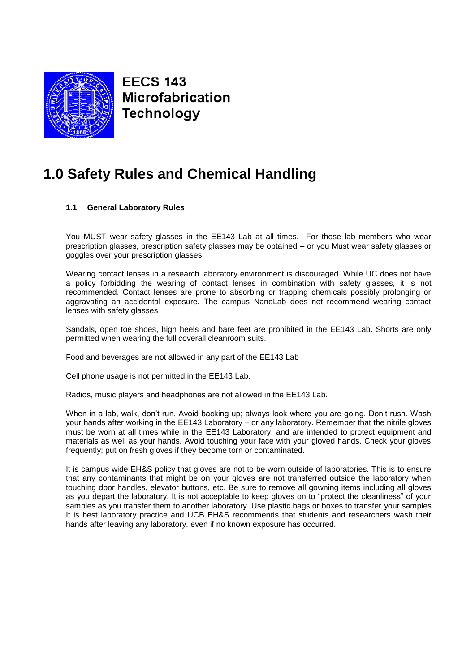

**EECS 143** Microfabrication **Technology** 

# **1.0 Safety Rules and Chemical Handling**

# **1.1 General Laboratory Rules**

You MUST wear safety glasses in the EE143 Lab at all times. For those lab members who wear prescription glasses, prescription safety glasses may be obtained – or you Must wear safety glasses or goggles over your prescription glasses.

Wearing contact lenses in a research laboratory environment is discouraged. While UC does not have a policy forbidding the wearing of contact lenses in combination with safety glasses, it is not recommended. Contact lenses are prone to absorbing or trapping chemicals possibly prolonging or aggravating an accidental exposure. The campus NanoLab does not recommend wearing contact lenses with safety glasses

Sandals, open toe shoes, high heels and bare feet are prohibited in the EE143 Lab. Shorts are only permitted when wearing the full coverall cleanroom suits.

Food and beverages are not allowed in any part of the EE143 Lab

Cell phone usage is not permitted in the EE143 Lab.

Radios, music players and headphones are not allowed in the EE143 Lab.

When in a lab, walk, don't run. Avoid backing up; always look where you are going. Don't rush. Wash your hands after working in the EE143 Laboratory – or any laboratory. Remember that the nitrile gloves must be worn at all times while in the EE143 Laboratory, and are intended to protect equipment and materials as well as your hands. Avoid touching your face with your gloved hands. Check your gloves frequently; put on fresh gloves if they become torn or contaminated.

It is campus wide EH&S policy that gloves are not to be worn outside of laboratories. This is to ensure that any contaminants that might be on your gloves are not transferred outside the laboratory when touching door handles, elevator buttons, etc. Be sure to remove all gowning items including all gloves as you depart the laboratory. It is not acceptable to keep gloves on to "protect the cleanliness" of your samples as you transfer them to another laboratory. Use plastic bags or boxes to transfer your samples. It is best laboratory practice and UCB EH&S recommends that students and researchers wash their hands after leaving any laboratory, even if no known exposure has occurred.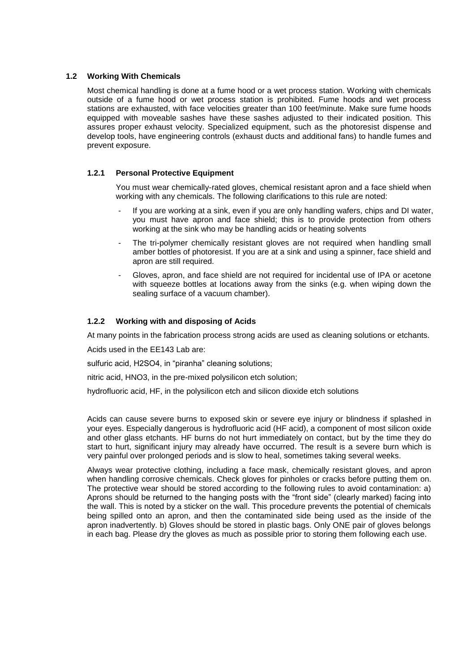### **1.2 Working With Chemicals**

Most chemical handling is done at a fume hood or a wet process station. Working with chemicals outside of a fume hood or wet process station is prohibited. Fume hoods and wet process stations are exhausted, with face velocities greater than 100 feet/minute. Make sure fume hoods equipped with moveable sashes have these sashes adjusted to their indicated position. This assures proper exhaust velocity. Specialized equipment, such as the photoresist dispense and develop tools, have engineering controls (exhaust ducts and additional fans) to handle fumes and prevent exposure.

### **1.2.1 Personal Protective Equipment**

You must wear chemically-rated gloves, chemical resistant apron and a face shield when working with any chemicals. The following clarifications to this rule are noted:

- If you are working at a sink, even if you are only handling wafers, chips and DI water, you must have apron and face shield; this is to provide protection from others working at the sink who may be handling acids or heating solvents
- The tri-polymer chemically resistant gloves are not required when handling small amber bottles of photoresist. If you are at a sink and using a spinner, face shield and apron are still required.
- Gloves, apron, and face shield are not required for incidental use of IPA or acetone with squeeze bottles at locations away from the sinks (e.g. when wiping down the sealing surface of a vacuum chamber).

# **1.2.2 Working with and disposing of Acids**

At many points in the fabrication process strong acids are used as cleaning solutions or etchants.

Acids used in the EE143 Lab are:

sulfuric acid, H2SO4, in "piranha" cleaning solutions;

nitric acid, HNO3, in the pre-mixed polysilicon etch solution;

hydrofluoric acid, HF, in the polysilicon etch and silicon dioxide etch solutions

Acids can cause severe burns to exposed skin or severe eye injury or blindness if splashed in your eyes. Especially dangerous is hydrofluoric acid (HF acid), a component of most silicon oxide and other glass etchants. HF burns do not hurt immediately on contact, but by the time they do start to hurt, significant injury may already have occurred. The result is a severe burn which is very painful over prolonged periods and is slow to heal, sometimes taking several weeks.

Always wear protective clothing, including a face mask, chemically resistant gloves, and apron when handling corrosive chemicals. Check gloves for pinholes or cracks before putting them on. The protective wear should be stored according to the following rules to avoid contamination: a) Aprons should be returned to the hanging posts with the "front side" (clearly marked) facing into the wall. This is noted by a sticker on the wall. This procedure prevents the potential of chemicals being spilled onto an apron, and then the contaminated side being used as the inside of the apron inadvertently. b) Gloves should be stored in plastic bags. Only ONE pair of gloves belongs in each bag. Please dry the gloves as much as possible prior to storing them following each use.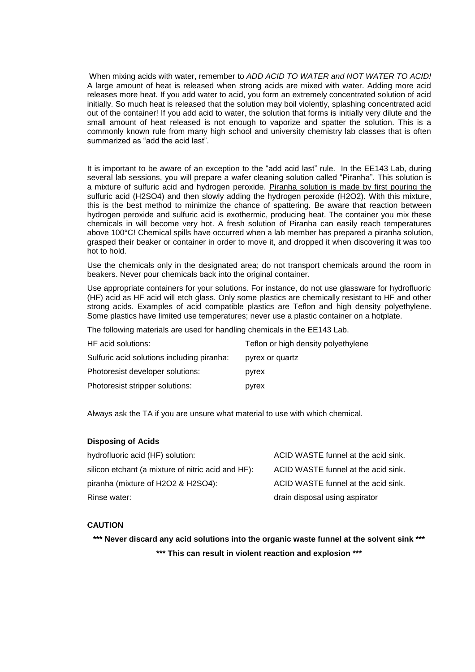When mixing acids with water, remember to *ADD ACID TO WATER and NOT WATER TO ACID!*  A large amount of heat is released when strong acids are mixed with water. Adding more acid releases more heat. If you add water to acid, you form an extremely concentrated solution of acid initially. So much heat is released that the solution may boil violently, splashing concentrated acid out of the container! If you add acid to water, the solution that forms is initially very dilute and the small amount of heat released is not enough to vaporize and spatter the solution. This is a commonly known rule from many high school and university chemistry lab classes that is often summarized as "add the acid last".

It is important to be aware of an exception to the "add acid last" rule. In the EE143 Lab, during several lab sessions, you will prepare a wafer cleaning solution called "Piranha". This solution is a mixture of sulfuric acid and hydrogen peroxide. Piranha solution is made by first pouring the sulfuric acid (H2SO4) and then slowly adding the hydrogen peroxide (H2O2). With this mixture, this is the best method to minimize the chance of spattering. Be aware that reaction between hydrogen peroxide and sulfuric acid is exothermic, producing heat. The container you mix these chemicals in will become very hot. A fresh solution of Piranha can easily reach temperatures above 100°C! Chemical spills have occurred when a lab member has prepared a piranha solution, grasped their beaker or container in order to move it, and dropped it when discovering it was too hot to hold.

Use the chemicals only in the designated area; do not transport chemicals around the room in beakers. Never pour chemicals back into the original container.

Use appropriate containers for your solutions. For instance, do not use glassware for hydrofluoric (HF) acid as HF acid will etch glass. Only some plastics are chemically resistant to HF and other strong acids. Examples of acid compatible plastics are Teflon and high density polyethylene. Some plastics have limited use temperatures; never use a plastic container on a hotplate.

The following materials are used for handling chemicals in the EE143 Lab.

| HF acid solutions:                         | Teflon or high density polyethylene |
|--------------------------------------------|-------------------------------------|
| Sulfuric acid solutions including piranha: | pyrex or quartz                     |
| Photoresist developer solutions:           | pyrex                               |
| Photoresist stripper solutions:            | pyrex                               |

Always ask the TA if you are unsure what material to use with which chemical.

#### **Disposing of Acids**

| hydrofluoric acid (HF) solution:                   | ACID WASTE funnel at the acid sink. |
|----------------------------------------------------|-------------------------------------|
| silicon etchant (a mixture of nitric acid and HF): | ACID WASTE funnel at the acid sink. |
| piranha (mixture of H2O2 & H2SO4):                 | ACID WASTE funnel at the acid sink. |
| Rinse water:                                       | drain disposal using aspirator      |

#### **CAUTION**

**\*\*\* Never discard any acid solutions into the organic waste funnel at the solvent sink \*\*\* \*\*\* This can result in violent reaction and explosion \*\*\***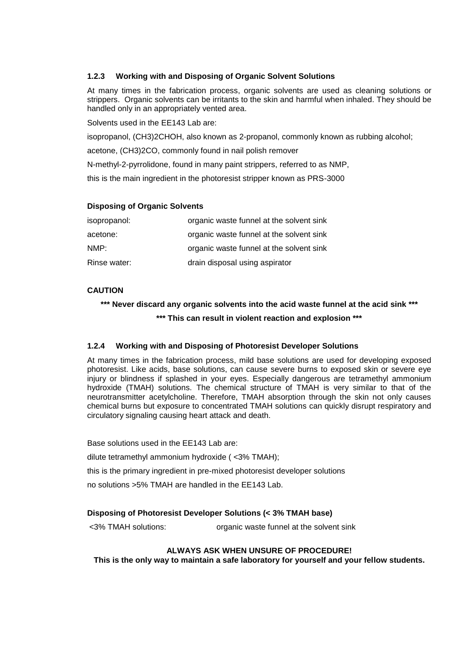# **1.2.3 Working with and Disposing of Organic Solvent Solutions**

At many times in the fabrication process, organic solvents are used as cleaning solutions or strippers. Organic solvents can be irritants to the skin and harmful when inhaled. They should be handled only in an appropriately vented area.

Solvents used in the EE143 Lab are:

isopropanol, (CH3)2CHOH, also known as 2-propanol, commonly known as rubbing alcohol;

acetone, (CH3)2CO, commonly found in nail polish remover

N-methyl-2-pyrrolidone, found in many paint strippers, referred to as NMP,

this is the main ingredient in the photoresist stripper known as PRS-3000

### **Disposing of Organic Solvents**

| isopropanol: | organic waste funnel at the solvent sink |
|--------------|------------------------------------------|
| acetone:     | organic waste funnel at the solvent sink |
| NMP:         | organic waste funnel at the solvent sink |
| Rinse water: | drain disposal using aspirator           |

# **CAUTION**

**\*\*\* Never discard any organic solvents into the acid waste funnel at the acid sink \*\*\***

**\*\*\* This can result in violent reaction and explosion \*\*\***

# **1.2.4 Working with and Disposing of Photoresist Developer Solutions**

At many times in the fabrication process, mild base solutions are used for developing exposed photoresist. Like acids, base solutions, can cause severe burns to exposed skin or severe eye injury or blindness if splashed in your eyes. Especially dangerous are tetramethyl ammonium hydroxide (TMAH) solutions. The chemical structure of TMAH is very similar to that of the neurotransmitter acetylcholine. Therefore, TMAH absorption through the skin not only causes chemical burns but exposure to concentrated TMAH solutions can quickly disrupt respiratory and circulatory signaling causing heart attack and death.

Base solutions used in the EE143 Lab are:

dilute tetramethyl ammonium hydroxide ( <3% TMAH);

this is the primary ingredient in pre-mixed photoresist developer solutions

no solutions >5% TMAH are handled in the EE143 Lab.

# **Disposing of Photoresist Developer Solutions (< 3% TMAH base)**

<3% TMAH solutions: organic waste funnel at the solvent sink

#### **ALWAYS ASK WHEN UNSURE OF PROCEDURE!**

**This is the only way to maintain a safe laboratory for yourself and your fellow students.**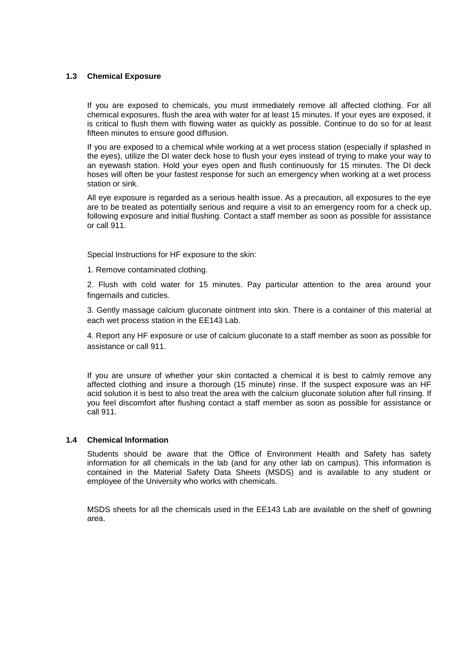### **1.3 Chemical Exposure**

If you are exposed to chemicals, you must immediately remove all affected clothing. For all chemical exposures, flush the area with water for at least 15 minutes. If your eyes are exposed, it is critical to flush them with flowing water as quickly as possible. Continue to do so for at least fifteen minutes to ensure good diffusion.

If you are exposed to a chemical while working at a wet process station (especially if splashed in the eyes), utilize the DI water deck hose to flush your eyes instead of trying to make your way to an eyewash station. Hold your eyes open and flush continuously for 15 minutes. The DI deck hoses will often be your fastest response for such an emergency when working at a wet process station or sink.

All eye exposure is regarded as a serious health issue. As a precaution, all exposures to the eye are to be treated as potentially serious and require a visit to an emergency room for a check up, following exposure and initial flushing. Contact a staff member as soon as possible for assistance or call 911.

Special Instructions for HF exposure to the skin:

1. Remove contaminated clothing.

2. Flush with cold water for 15 minutes. Pay particular attention to the area around your fingernails and cuticles.

3. Gently massage calcium gluconate ointment into skin. There is a container of this material at each wet process station in the EE143 Lab.

4. Report any HF exposure or use of calcium gluconate to a staff member as soon as possible for assistance or call 911.

If you are unsure of whether your skin contacted a chemical it is best to calmly remove any affected clothing and insure a thorough (15 minute) rinse. If the suspect exposure was an HF acid solution it is best to also treat the area with the calcium gluconate solution after full rinsing. If you feel discomfort after flushing contact a staff member as soon as possible for assistance or call 911.

# **1.4 Chemical Information**

Students should be aware that the Office of Environment Health and Safety has safety information for all chemicals in the lab (and for any other lab on campus). This information is contained in the Material Safety Data Sheets (MSDS) and is available to any student or employee of the University who works with chemicals.

MSDS sheets for all the chemicals used in the EE143 Lab are available on the shelf of gowning area.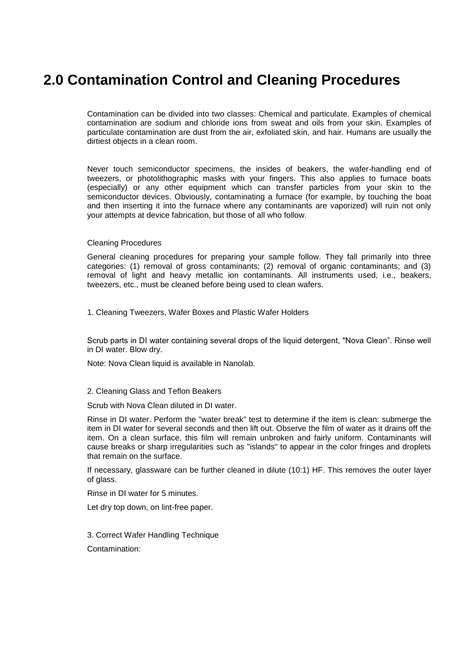# **2.0 Contamination Control and Cleaning Procedures**

Contamination can be divided into two classes: Chemical and particulate. Examples of chemical contamination are sodium and chloride ions from sweat and oils from your skin. Examples of particulate contamination are dust from the air, exfoliated skin, and hair. Humans are usually the dirtiest objects in a clean room.

Never touch semiconductor specimens, the insides of beakers, the wafer-handling end of tweezers, or photolithographic masks with your fingers. This also applies to furnace boats (especially) or any other equipment which can transfer particles from your skin to the semiconductor devices. Obviously, contaminating a furnace (for example, by touching the boat and then inserting it into the furnace where any contaminants are vaporized) will ruin not only your attempts at device fabrication, but those of all who follow.

#### Cleaning Procedures

General cleaning procedures for preparing your sample follow. They fall primarily into three categories: (1) removal of gross contaminants; (2) removal of organic contaminants; and (3) removal of light and heavy metallic ion contaminants. All instruments used, i.e., beakers, tweezers, etc., must be cleaned before being used to clean wafers.

1. Cleaning Tweezers, Wafer Boxes and Plastic Wafer Holders

Scrub parts in DI water containing several drops of the liquid detergent, "Nova Clean". Rinse well in DI water. Blow dry.

Note: Nova Clean liquid is available in Nanolab.

#### 2. Cleaning Glass and Teflon Beakers

Scrub with Nova Clean diluted in DI water.

Rinse in DI water. Perform the "water break" test to determine if the item is clean: submerge the item in DI water for several seconds and then lift out. Observe the film of water as it drains off the item. On a clean surface, this film will remain unbroken and fairly uniform. Contaminants will cause breaks or sharp irregularities such as "islands" to appear in the color fringes and droplets that remain on the surface.

If necessary, glassware can be further cleaned in dilute (10:1) HF. This removes the outer layer of glass.

Rinse in DI water for 5 minutes.

Let dry top down, on lint-free paper.

3. Correct Wafer Handling Technique

Contamination: